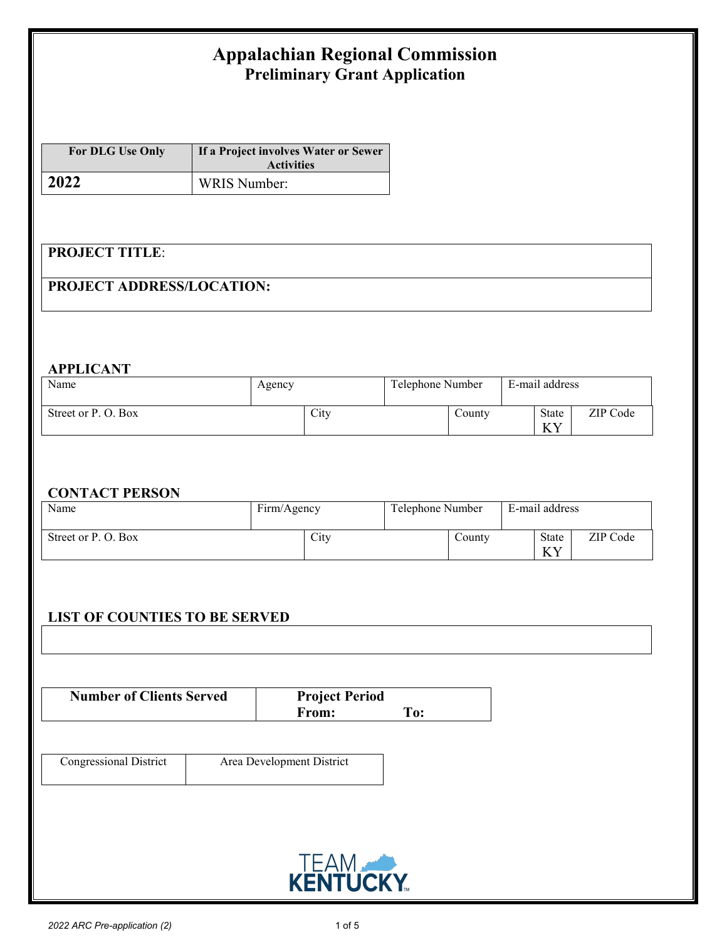# **Appalachian Regional Commission Preliminary Grant Application**

| <b>For DLG Use Only</b> | If a Project involves Water or Sewer<br><b>Activities</b> |
|-------------------------|-----------------------------------------------------------|
| 2022                    | WRIS Number:                                              |

### **PROJECT TITLE**:

### **PROJECT ADDRESS/LOCATION:**

#### **APPLICANT**

| Name                | Agency |      | Telephone Number |                  | E-mail address |                               |          |
|---------------------|--------|------|------------------|------------------|----------------|-------------------------------|----------|
| Street or P. O. Box |        | City |                  | $\text{Country}$ |                | State<br>V <sub>V</sub><br>ΔI | ZIP Code |

#### **CONTACT PERSON**

| Name                | Firm/Agency | Telephone Number    | E-mail address                 |  |
|---------------------|-------------|---------------------|--------------------------------|--|
| Street or P. O. Box | City        | $\mathcal{L}$ ounty | ZIP Code<br>State<br>TTT<br>ΛI |  |

### **LIST OF COUNTIES TO BE SERVED**

| <b>Number of Clients Served</b> | <b>Project Period</b> |     |
|---------------------------------|-----------------------|-----|
|                                 | From:                 | To: |

| <b>Congressional District</b> | Area Development District |
|-------------------------------|---------------------------|
|                               |                           |

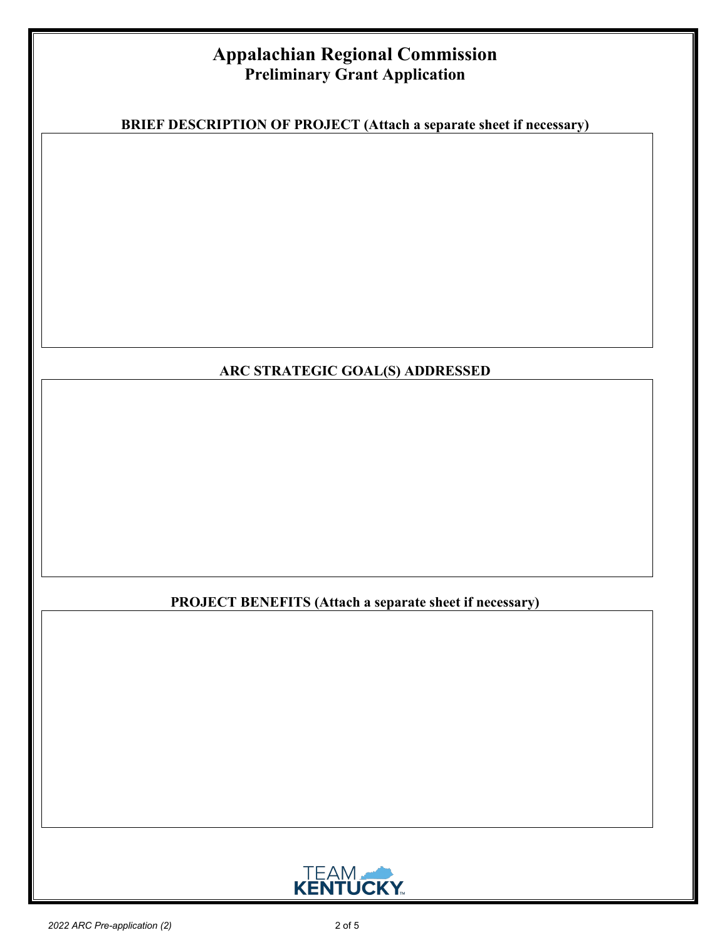# **Appalachian Regional Commission Preliminary Grant Application**

**BRIEF DESCRIPTION OF PROJECT (Attach a separate sheet if necessary)**

### **ARC STRATEGIC GOAL(S) ADDRESSED**

### **PROJECT BENEFITS (Attach a separate sheet if necessary)**

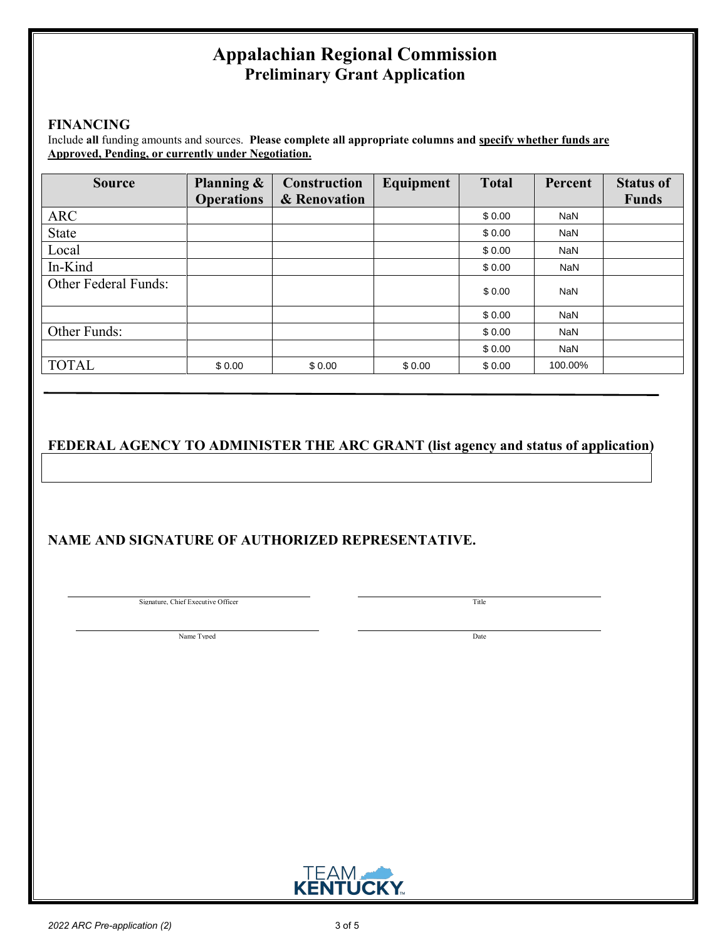# **Appalachian Regional Commission Preliminary Grant Application**

#### **FINANCING**

Include **all** funding amounts and sources. **Please complete all appropriate columns and specify whether funds are Approved, Pending, or currently under Negotiation.** 

| <b>Source</b>        | Planning &        | <b>Construction</b> | Equipment | <b>Total</b> | Percent    | <b>Status of</b> |
|----------------------|-------------------|---------------------|-----------|--------------|------------|------------------|
|                      | <b>Operations</b> | & Renovation        |           |              |            | <b>Funds</b>     |
| <b>ARC</b>           |                   |                     |           | \$0.00       | NaN        |                  |
| State                |                   |                     |           | \$0.00       | NaN        |                  |
| Local                |                   |                     |           | \$0.00       | <b>NaN</b> |                  |
| In-Kind              |                   |                     |           | \$0.00       | <b>NaN</b> |                  |
| Other Federal Funds: |                   |                     |           | \$0.00       | <b>NaN</b> |                  |
|                      |                   |                     |           | \$0.00       | NaN        |                  |
| Other Funds:         |                   |                     |           | \$0.00       | NaN        |                  |
|                      |                   |                     |           | \$0.00       | <b>NaN</b> |                  |
| <b>TOTAL</b>         | \$0.00            | \$0.00              | \$0.00    | \$0.00       | 100.00%    |                  |

### **FEDERAL AGENCY TO ADMINISTER THE ARC GRANT (list agency and status of application)**

### **NAME AND SIGNATURE OF AUTHORIZED REPRESENTATIVE.**

Signature, Chief Executive Officer

Title

Name Typed Date

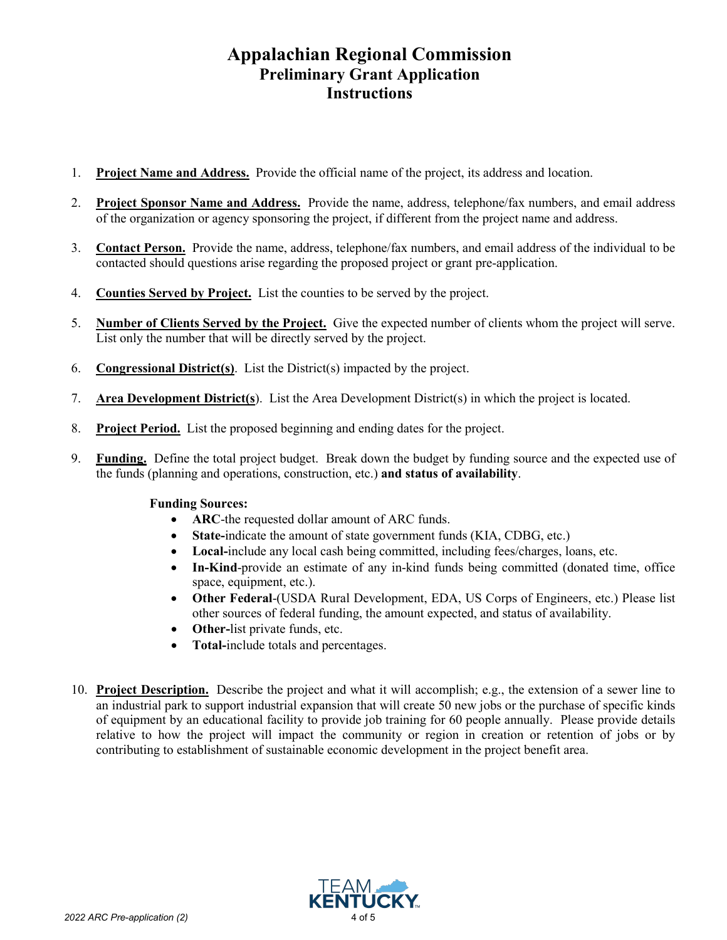# **Appalachian Regional Commission Preliminary Grant Application Instructions**

- 1. **Project Name and Address.** Provide the official name of the project, its address and location.
- 2. **Project Sponsor Name and Address.** Provide the name, address, telephone/fax numbers, and email address of the organization or agency sponsoring the project, if different from the project name and address.
- 3. **Contact Person.** Provide the name, address, telephone/fax numbers, and email address of the individual to be contacted should questions arise regarding the proposed project or grant pre-application.
- 4. **Counties Served by Project.** List the counties to be served by the project.
- 5. **Number of Clients Served by the Project.** Give the expected number of clients whom the project will serve. List only the number that will be directly served by the project.
- 6. **Congressional District(s)**. List the District(s) impacted by the project.
- 7. **Area Development District(s**). List the Area Development District(s) in which the project is located.
- 8. **Project Period.** List the proposed beginning and ending dates for the project.
- 9. **Funding.** Define the total project budget. Break down the budget by funding source and the expected use of the funds (planning and operations, construction, etc.) **and status of availability**.

#### **Funding Sources:**

- **ARC**-the requested dollar amount of ARC funds.
- **State-**indicate the amount of state government funds (KIA, CDBG, etc.)
- **Local-**include any local cash being committed, including fees/charges, loans, etc.
- **In-Kind**-provide an estimate of any in-kind funds being committed (donated time, office space, equipment, etc.).
- **Other Federal**-(USDA Rural Development, EDA, US Corps of Engineers, etc.) Please list other sources of federal funding, the amount expected, and status of availability.
- **Other-**list private funds, etc.
- **Total-**include totals and percentages.
- 10. **Project Description.** Describe the project and what it will accomplish; e.g., the extension of a sewer line to an industrial park to support industrial expansion that will create 50 new jobs or the purchase of specific kinds of equipment by an educational facility to provide job training for 60 people annually. Please provide details relative to how the project will impact the community or region in creation or retention of jobs or by contributing to establishment of sustainable economic development in the project benefit area.